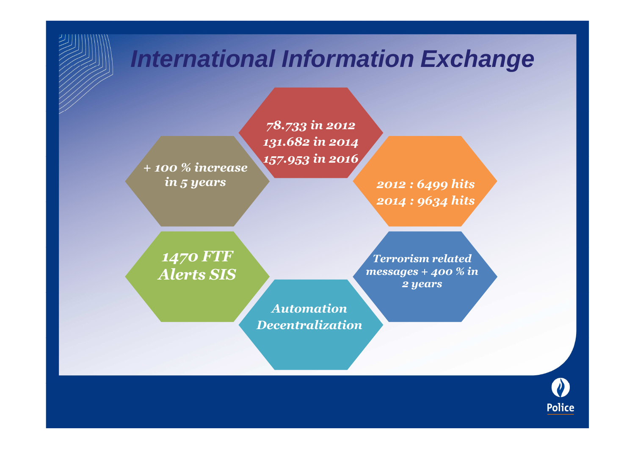## **International Information Exchange**

 *+ 100 % increase in 5 years*

*78.733 in 2012 131.682 in 2014157.953 in 2016*

> *2012 : 6499 hits2014 : 9634 hits*

*1470 FTF Alerts SIS*

*Terrorism related messages + 400 % in 2 years*

*AutomationDecentralization*

**Police**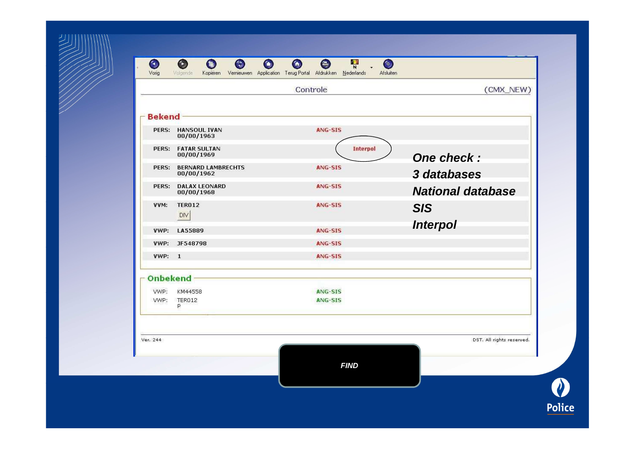| Vorig         | Volgende                           | Kopieren Vernieuwen Application Terug-Portal Afdrukken Nederlands | <b>Afsluiten</b>          |
|---------------|------------------------------------|-------------------------------------------------------------------|---------------------------|
|               |                                    | Controle                                                          | (CMX_NEW)                 |
|               |                                    |                                                                   |                           |
| <b>Bekend</b> |                                    |                                                                   |                           |
|               | PERS: HANSOUL IVAN<br>00/00/1963   | ANG-SIS                                                           |                           |
|               | PERS: FATAR SULTAN<br>00/00/1969   | <b>Interpol</b>                                                   | One check:                |
| PERS:         | <b>BERNARD LAMBRECHTS</b>          | ANG-SIS                                                           |                           |
|               | 00/00/1962                         |                                                                   | 3 databases               |
| PERS:         | <b>DALAX LEONARD</b><br>00/00/1968 | ANG-SIS                                                           | <b>National database</b>  |
| VVM:          | <b>TER012</b>                      | ANG-SIS                                                           | <b>SIS</b>                |
|               | <b>DIV</b>                         |                                                                   | <b>Interpol</b>           |
| VWP:          | LA55889                            | ANG-SIS                                                           |                           |
|               | VWP: JF548798                      | <b>ANG-SIS</b>                                                    |                           |
| <b>VWP: 1</b> |                                    | ANG-SIS                                                           |                           |
| Onbekend      |                                    |                                                                   |                           |
| VWP:          | KM44558                            | ANG-SIS                                                           |                           |
| VWP:          | <b>TER012</b><br>P                 | ANG-SIS                                                           |                           |
|               |                                    |                                                                   |                           |
| Ver. 244      |                                    |                                                                   | DST. All rights reserved. |
|               |                                    | <b>FIND</b>                                                       |                           |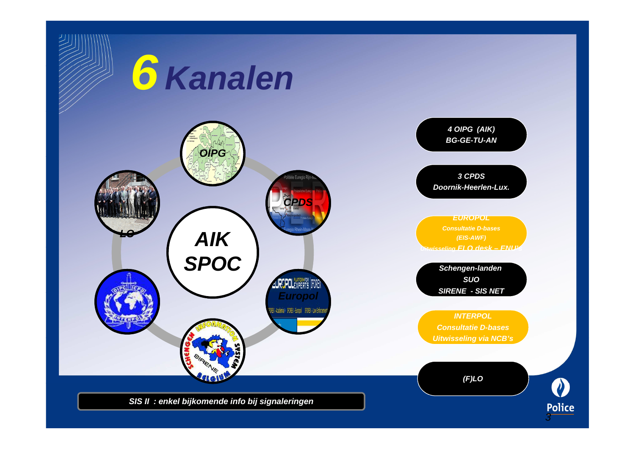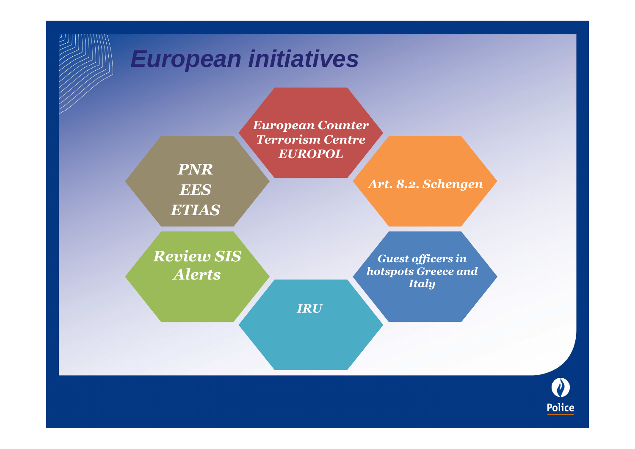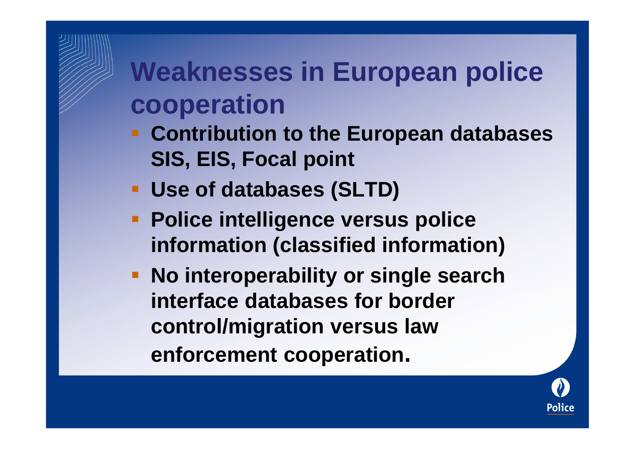## **Weaknesses in European police cooperation**

- **Contribution to the European databases SIS, EIS, Focal point**
- **Use of databases (SLTD)**
- **Police intelligence versus police information (classified information)**
- **No interoperability or single search interface databases for border control/migration versus law enforcement cooperation.**